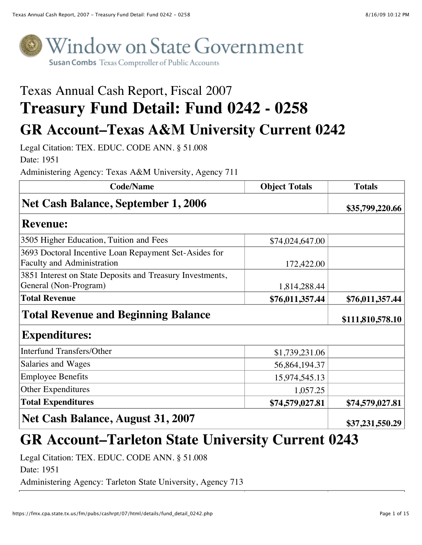

# Texas Annual Cash Report, Fiscal 2007 **Treasury Fund Detail: Fund 0242 - 0258**

# **GR Account–Texas A&M University Current 0242**

Legal Citation: TEX. EDUC. CODE ANN. § 51.008 Date: 1951

Administering Agency: Texas A&M University, Agency 711

| <b>Code/Name</b>                                                                           | <b>Object Totals</b> | <b>Totals</b>    |
|--------------------------------------------------------------------------------------------|----------------------|------------------|
| Net Cash Balance, September 1, 2006                                                        |                      | \$35,799,220.66  |
| <b>Revenue:</b>                                                                            |                      |                  |
| 3505 Higher Education, Tuition and Fees                                                    | \$74,024,647.00      |                  |
| 3693 Doctoral Incentive Loan Repayment Set-Asides for<br><b>Faculty and Administration</b> | 172,422.00           |                  |
| 3851 Interest on State Deposits and Treasury Investments,<br>General (Non-Program)         | 1,814,288.44         |                  |
| <b>Total Revenue</b>                                                                       | \$76,011,357.44      | \$76,011,357.44  |
| <b>Total Revenue and Beginning Balance</b>                                                 |                      | \$111,810,578.10 |
| <b>Expenditures:</b>                                                                       |                      |                  |
| Interfund Transfers/Other                                                                  | \$1,739,231.06       |                  |
| Salaries and Wages                                                                         | 56,864,194.37        |                  |
| <b>Employee Benefits</b>                                                                   | 15,974,545.13        |                  |
| Other Expenditures                                                                         | 1,057.25             |                  |
| <b>Total Expenditures</b>                                                                  | \$74,579,027.81      | \$74,579,027.81  |
| Net Cash Balance, August 31, 2007                                                          |                      | \$37,231,550.29  |

### **GR Account–Tarleton State University Current 0243**

Legal Citation: TEX. EDUC. CODE ANN. § 51.008

Date: 1951

Administering Agency: Tarleton State University, Agency 713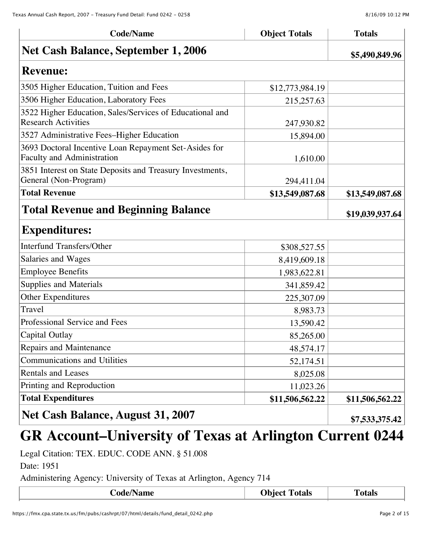| <b>Net Cash Balance, September 1, 2006</b>                                                 |                 | \$5,490,849.96  |
|--------------------------------------------------------------------------------------------|-----------------|-----------------|
| <b>Revenue:</b>                                                                            |                 |                 |
| 3505 Higher Education, Tuition and Fees                                                    | \$12,773,984.19 |                 |
| 3506 Higher Education, Laboratory Fees                                                     | 215,257.63      |                 |
| 3522 Higher Education, Sales/Services of Educational and<br><b>Research Activities</b>     | 247,930.82      |                 |
| 3527 Administrative Fees-Higher Education                                                  | 15,894.00       |                 |
| 3693 Doctoral Incentive Loan Repayment Set-Asides for<br><b>Faculty and Administration</b> | 1,610.00        |                 |
| 3851 Interest on State Deposits and Treasury Investments,<br>General (Non-Program)         | 294,411.04      |                 |
| <b>Total Revenue</b>                                                                       | \$13,549,087.68 | \$13,549,087.68 |
| <b>Total Revenue and Beginning Balance</b>                                                 |                 | \$19,039,937.64 |
| <b>Expenditures:</b>                                                                       |                 |                 |
| <b>Interfund Transfers/Other</b>                                                           | \$308,527.55    |                 |
| Salaries and Wages                                                                         | 8,419,609.18    |                 |
| <b>Employee Benefits</b>                                                                   | 1,983,622.81    |                 |
| Supplies and Materials                                                                     | 341,859.42      |                 |
| Other Expenditures                                                                         | 225,307.09      |                 |
| Travel                                                                                     | 8,983.73        |                 |
| Professional Service and Fees                                                              | 13,590.42       |                 |
| Capital Outlay                                                                             | 85,265.00       |                 |
| Repairs and Maintenance                                                                    | 48,574.17       |                 |
| <b>Communications and Utilities</b>                                                        | 52,174.51       |                 |
| <b>Rentals and Leases</b>                                                                  | 8,025.08        |                 |
| Printing and Reproduction                                                                  | 11,023.26       |                 |
| <b>Total Expenditures</b>                                                                  | \$11,506,562.22 | \$11,506,562.22 |
| <b>Net Cash Balance, August 31, 2007</b>                                                   |                 | \$7,533,375.42  |

**Code/Name Department Code/Name Code/Name Totals** 

# **GR Account–University of Texas at Arlington Current 0244**

Legal Citation: TEX. EDUC. CODE ANN. § 51.008

Date: 1951

Administering Agency: University of Texas at Arlington, Agency 714

| <b>Code/Name</b> | <b>Object Totals</b> | <b>otals</b> |
|------------------|----------------------|--------------|
|                  |                      |              |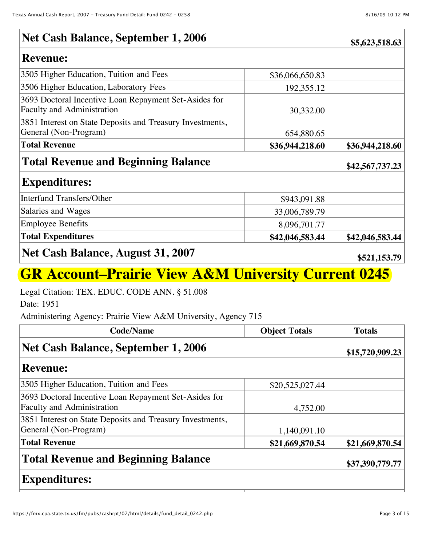### **Net Cash Balance, September 1, 2006 \$5,623,518.63**

#### **Revenue:**

| 3505 Higher Education, Tuition and Fees                   | \$36,066,650.83 |                 |
|-----------------------------------------------------------|-----------------|-----------------|
| 3506 Higher Education, Laboratory Fees                    | 192,355.12      |                 |
| 3693 Doctoral Incentive Loan Repayment Set-Asides for     |                 |                 |
| <b>Faculty and Administration</b>                         | 30,332.00       |                 |
| 3851 Interest on State Deposits and Treasury Investments, |                 |                 |
| General (Non-Program)                                     | 654,880.65      |                 |
| <b>Total Revenue</b>                                      | \$36,944,218.60 | \$36,944,218.60 |
| <b>Total Revenue and Beginning Balance</b>                |                 | \$42,567,737.23 |
| <b>Expenditures:</b>                                      |                 |                 |
| <b>Interfund Transfers/Other</b>                          | \$943,091.88    |                 |
| Salaries and Wages                                        | 33,006,789.79   |                 |
| <b>Employee Benefits</b>                                  | 8,096,701.77    |                 |
| <b>Total Expenditures</b>                                 | \$42,046,583.44 | \$42,046,583.44 |
| Net Cash Balance, August 31, 2007                         |                 | \$521,153.79    |

### **GR Account–Prairie View A&M University Current 0245**

Legal Citation: TEX. EDUC. CODE ANN. § 51.008

Date: 1951

Administering Agency: Prairie View A&M University, Agency 715

| <b>Code/Name</b>                                                                           | <b>Object Totals</b> | <b>Totals</b>   |
|--------------------------------------------------------------------------------------------|----------------------|-----------------|
| Net Cash Balance, September 1, 2006                                                        |                      | \$15,720,909.23 |
| <b>Revenue:</b>                                                                            |                      |                 |
| 3505 Higher Education, Tuition and Fees                                                    | \$20,525,027.44      |                 |
| 3693 Doctoral Incentive Loan Repayment Set-Asides for<br><b>Faculty and Administration</b> | 4,752.00             |                 |
| 3851 Interest on State Deposits and Treasury Investments,<br>General (Non-Program)         | 1,140,091.10         |                 |
| <b>Total Revenue</b>                                                                       | \$21,669,870.54      | \$21,669,870.54 |
| Total Revenue and Beginning Balance                                                        |                      | \$37,390,779.77 |
| <b>Expenditures:</b>                                                                       |                      |                 |